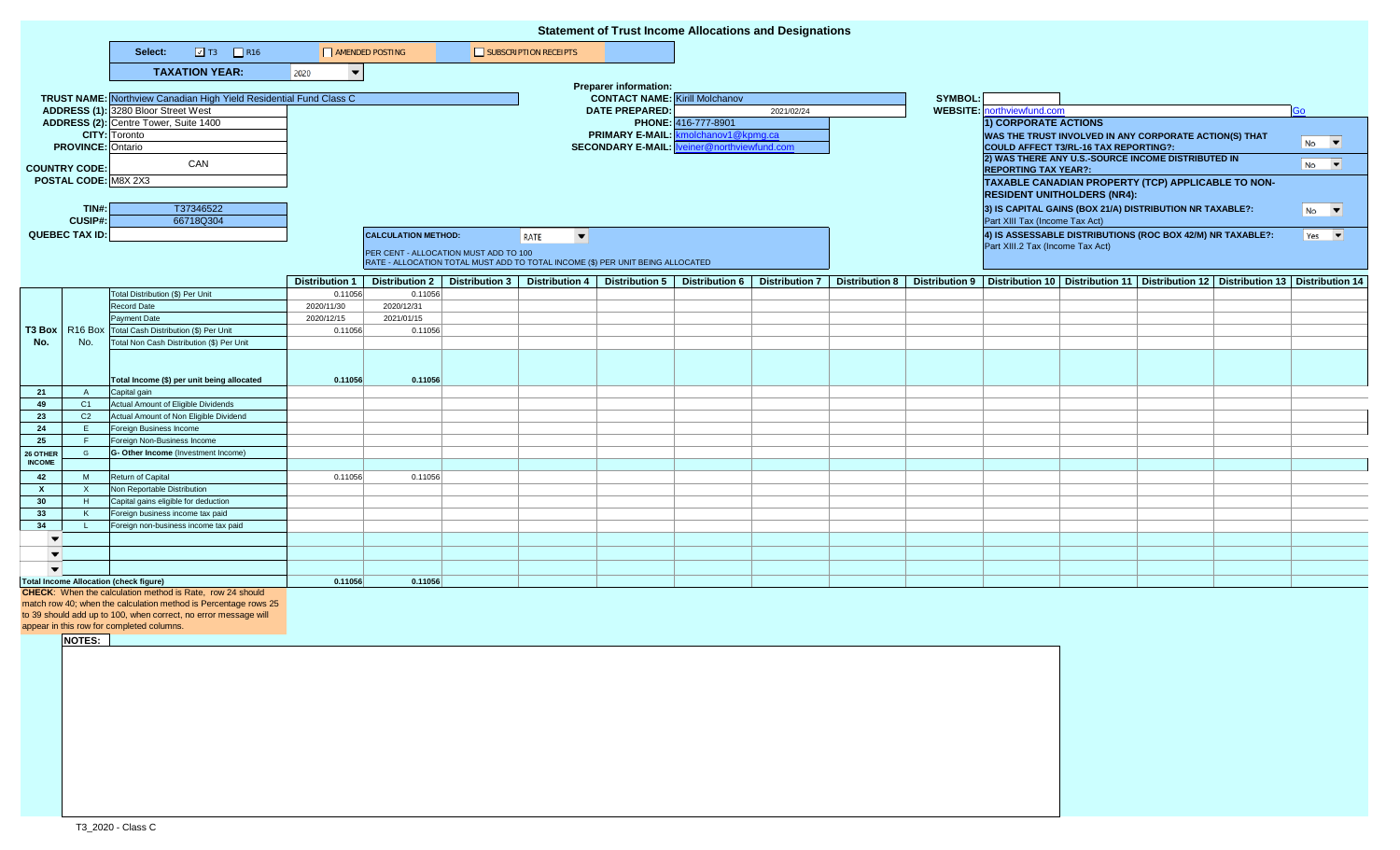|                           |                |                                                                                                                                     |                                    |                                       |  |                                                                                | <b>Statement of Trust Income Allocations and Designations</b> |                                                    |                     |                |  |                                                                                                                |                                       |                                                          |                                                                                                                           |                             |  |
|---------------------------|----------------|-------------------------------------------------------------------------------------------------------------------------------------|------------------------------------|---------------------------------------|--|--------------------------------------------------------------------------------|---------------------------------------------------------------|----------------------------------------------------|---------------------|----------------|--|----------------------------------------------------------------------------------------------------------------|---------------------------------------|----------------------------------------------------------|---------------------------------------------------------------------------------------------------------------------------|-----------------------------|--|
|                           |                | $\boxed{2}$ T3 $\boxed{2}$ R16<br>Select:                                                                                           | AMENDED POSTING                    |                                       |  | SUBSCRIPTION RECEIPTS                                                          |                                                               |                                                    |                     |                |  |                                                                                                                |                                       |                                                          |                                                                                                                           |                             |  |
|                           |                | <b>TAXATION YEAR:</b>                                                                                                               | 2020<br>$\overline{\phantom{a}}$   |                                       |  |                                                                                |                                                               |                                                    |                     |                |  |                                                                                                                |                                       |                                                          |                                                                                                                           |                             |  |
|                           |                |                                                                                                                                     |                                    |                                       |  |                                                                                | <b>Preparer information:</b>                                  |                                                    |                     |                |  |                                                                                                                |                                       |                                                          |                                                                                                                           |                             |  |
|                           |                | <b>TRUST NAME:</b> Northview Canadian High Yield Residential Fund Class C                                                           |                                    | <b>CONTACT NAME:</b> Kirill Molchanov |  |                                                                                |                                                               |                                                    |                     |                |  |                                                                                                                |                                       |                                                          |                                                                                                                           |                             |  |
|                           |                | ADDRESS (1): 3280 Bloor Street West                                                                                                 |                                    |                                       |  |                                                                                | <b>DATE PREPARED:</b>                                         | 2021/02/24                                         |                     | <b>SYMBOL:</b> |  | <b>WEBSITE:</b> northviewfund.com<br>Go                                                                        |                                       |                                                          |                                                                                                                           |                             |  |
|                           |                | ADDRESS (2): Centre Tower, Suite 1400                                                                                               |                                    |                                       |  |                                                                                |                                                               |                                                    | PHONE: 416-777-8901 |                |  | 1) CORPORATE ACTIONS                                                                                           |                                       |                                                          |                                                                                                                           |                             |  |
|                           |                | <b>CITY:</b> Toronto                                                                                                                |                                    |                                       |  |                                                                                |                                                               | PRIMARY E-MAIL: kmolchanov1@kpmg.ca                |                     |                |  | WAS THE TRUST INVOLVED IN ANY CORPORATE ACTION(S) THAT<br>$No$ $\blacktriangledown$                            |                                       |                                                          |                                                                                                                           |                             |  |
| <b>PROVINCE: Ontario</b>  |                |                                                                                                                                     |                                    |                                       |  |                                                                                |                                                               | <b>SECONDARY E-MAIL: Iveiner@northviewfund.com</b> |                     |                |  |                                                                                                                | COULD AFFECT T3/RL-16 TAX REPORTING?: |                                                          |                                                                                                                           |                             |  |
| <b>COUNTRY CODE:</b>      |                | CAN                                                                                                                                 |                                    |                                       |  |                                                                                |                                                               |                                                    |                     |                |  | 2) WAS THERE ANY U.S.-SOURCE INCOME DISTRIBUTED IN<br>$No$ $\blacktriangledown$<br><b>REPORTING TAX YEAR?:</b> |                                       |                                                          |                                                                                                                           |                             |  |
| POSTAL CODE: M8X 2X3      |                |                                                                                                                                     |                                    |                                       |  |                                                                                |                                                               |                                                    |                     |                |  | TAXABLE CANADIAN PROPERTY (TCP) APPLICABLE TO NON-                                                             |                                       |                                                          |                                                                                                                           |                             |  |
|                           |                |                                                                                                                                     | <b>RESIDENT UNITHOLDERS (NR4):</b> |                                       |  |                                                                                |                                                               |                                                    |                     |                |  |                                                                                                                |                                       |                                                          |                                                                                                                           |                             |  |
| TIN#:                     |                | T37346522                                                                                                                           |                                    |                                       |  |                                                                                |                                                               |                                                    |                     |                |  |                                                                                                                |                                       | 3) IS CAPITAL GAINS (BOX 21/A) DISTRIBUTION NR TAXABLE?: |                                                                                                                           | $N0$ $\blacktriangledown$   |  |
| <b>CUSIP#:</b>            |                | 66718Q304                                                                                                                           |                                    |                                       |  |                                                                                |                                                               |                                                    |                     |                |  | Part XIII Tax (Income Tax Act)                                                                                 |                                       |                                                          |                                                                                                                           |                             |  |
| <b>QUEBEC TAX ID:</b>     |                |                                                                                                                                     |                                    | <b>CALCULATION METHOD:</b>            |  | $\overline{\phantom{a}}$<br>RATE                                               |                                                               |                                                    |                     |                |  | 4) IS ASSESSABLE DISTRIBUTIONS (ROC BOX 42/M) NR TAXABLE?:                                                     |                                       |                                                          |                                                                                                                           | $Yes \n\blacktriangleright$ |  |
|                           |                |                                                                                                                                     |                                    | PER CENT - ALLOCATION MUST ADD TO 100 |  |                                                                                |                                                               |                                                    |                     |                |  | Part XIII.2 Tax (Income Tax Act)                                                                               |                                       |                                                          |                                                                                                                           |                             |  |
|                           |                |                                                                                                                                     |                                    |                                       |  | RATE - ALLOCATION TOTAL MUST ADD TO TOTAL INCOME (\$) PER UNIT BEING ALLOCATED |                                                               |                                                    |                     |                |  |                                                                                                                |                                       |                                                          |                                                                                                                           |                             |  |
|                           |                |                                                                                                                                     | <b>Distribution 1</b>              | <b>Distribution 2</b>                 |  | Distribution 3   Distribution 4   Distribution 5                               |                                                               | Distribution 6   Distribution 7                    |                     |                |  |                                                                                                                |                                       |                                                          | Distribution 8   Distribution 9   Distribution 10   Distribution 11   Distribution 12   Distribution 13   Distribution 14 |                             |  |
|                           |                | Total Distribution (\$) Per Unit                                                                                                    | 0.11056                            | 0.11056                               |  |                                                                                |                                                               |                                                    |                     |                |  |                                                                                                                |                                       |                                                          |                                                                                                                           |                             |  |
| T3 Box                    |                | Record Date                                                                                                                         | 2020/11/30                         | 2020/12/31                            |  |                                                                                |                                                               |                                                    |                     |                |  |                                                                                                                |                                       |                                                          |                                                                                                                           |                             |  |
|                           |                | Payment Date                                                                                                                        | 2020/12/15                         | 2021/01/15                            |  |                                                                                |                                                               |                                                    |                     |                |  |                                                                                                                |                                       |                                                          |                                                                                                                           |                             |  |
|                           |                | R16 Box Total Cash Distribution (\$) Per Unit                                                                                       | 0.11056                            | 0.11056                               |  |                                                                                |                                                               |                                                    |                     |                |  |                                                                                                                |                                       |                                                          |                                                                                                                           |                             |  |
| No.                       | No.            | Total Non Cash Distribution (\$) Per Unit                                                                                           |                                    |                                       |  |                                                                                |                                                               |                                                    |                     |                |  |                                                                                                                |                                       |                                                          |                                                                                                                           |                             |  |
|                           |                |                                                                                                                                     |                                    |                                       |  |                                                                                |                                                               |                                                    |                     |                |  |                                                                                                                |                                       |                                                          |                                                                                                                           |                             |  |
|                           |                | Total Income (\$) per unit being allocated                                                                                          | 0.11056                            | 0.11056                               |  |                                                                                |                                                               |                                                    |                     |                |  |                                                                                                                |                                       |                                                          |                                                                                                                           |                             |  |
| 21                        | A              | Capital gain                                                                                                                        |                                    |                                       |  |                                                                                |                                                               |                                                    |                     |                |  |                                                                                                                |                                       |                                                          |                                                                                                                           |                             |  |
| 49                        | C1             | Actual Amount of Eligible Dividends                                                                                                 |                                    |                                       |  |                                                                                |                                                               |                                                    |                     |                |  |                                                                                                                |                                       |                                                          |                                                                                                                           |                             |  |
| 23                        | C <sub>2</sub> | Actual Amount of Non Eligible Dividend                                                                                              |                                    |                                       |  |                                                                                |                                                               |                                                    |                     |                |  |                                                                                                                |                                       |                                                          |                                                                                                                           |                             |  |
| 24                        | E.             | Foreign Business Income                                                                                                             |                                    |                                       |  |                                                                                |                                                               |                                                    |                     |                |  |                                                                                                                |                                       |                                                          |                                                                                                                           |                             |  |
| 25                        | -F             | Foreign Non-Business Income                                                                                                         |                                    |                                       |  |                                                                                |                                                               |                                                    |                     |                |  |                                                                                                                |                                       |                                                          |                                                                                                                           |                             |  |
| 26 OTHER<br><b>INCOME</b> | G              | G- Other Income (Investment Income)                                                                                                 |                                    |                                       |  |                                                                                |                                                               |                                                    |                     |                |  |                                                                                                                |                                       |                                                          |                                                                                                                           |                             |  |
|                           | M              | Return of Capital                                                                                                                   |                                    |                                       |  |                                                                                |                                                               |                                                    |                     |                |  |                                                                                                                |                                       |                                                          |                                                                                                                           |                             |  |
| 42<br>X.                  | $\mathsf{X}$   | Non Reportable Distribution                                                                                                         | 0.11056                            | 0.11056                               |  |                                                                                |                                                               |                                                    |                     |                |  |                                                                                                                |                                       |                                                          |                                                                                                                           |                             |  |
| 30                        | H              | Capital gains eligible for deduction                                                                                                |                                    |                                       |  |                                                                                |                                                               |                                                    |                     |                |  |                                                                                                                |                                       |                                                          |                                                                                                                           |                             |  |
| 33                        | K              | Foreign business income tax paid                                                                                                    |                                    |                                       |  |                                                                                |                                                               |                                                    |                     |                |  |                                                                                                                |                                       |                                                          |                                                                                                                           |                             |  |
| 34                        |                | Foreign non-business income tax paid                                                                                                |                                    |                                       |  |                                                                                |                                                               |                                                    |                     |                |  |                                                                                                                |                                       |                                                          |                                                                                                                           |                             |  |
| $\overline{\phantom{a}}$  |                |                                                                                                                                     |                                    |                                       |  |                                                                                |                                                               |                                                    |                     |                |  |                                                                                                                |                                       |                                                          |                                                                                                                           |                             |  |
| $\overline{\phantom{a}}$  |                |                                                                                                                                     |                                    |                                       |  |                                                                                |                                                               |                                                    |                     |                |  |                                                                                                                |                                       |                                                          |                                                                                                                           |                             |  |
| $\overline{\phantom{a}}$  |                |                                                                                                                                     |                                    |                                       |  |                                                                                |                                                               |                                                    |                     |                |  |                                                                                                                |                                       |                                                          |                                                                                                                           |                             |  |
|                           |                | <b>Total Income Allocation (check figure)</b>                                                                                       | 0.11056                            | 0.11056                               |  |                                                                                |                                                               |                                                    |                     |                |  |                                                                                                                |                                       |                                                          |                                                                                                                           |                             |  |
|                           |                | <b>CHECK:</b> When the calculation method is Rate, row 24 should<br>match row 40; when the calculation method is Percentage rows 25 |                                    |                                       |  |                                                                                |                                                               |                                                    |                     |                |  |                                                                                                                |                                       |                                                          |                                                                                                                           |                             |  |
|                           |                | to 39 should add up to 100, when correct, no error message will                                                                     |                                    |                                       |  |                                                                                |                                                               |                                                    |                     |                |  |                                                                                                                |                                       |                                                          |                                                                                                                           |                             |  |
|                           |                | appear in this row for completed columns.                                                                                           |                                    |                                       |  |                                                                                |                                                               |                                                    |                     |                |  |                                                                                                                |                                       |                                                          |                                                                                                                           |                             |  |
|                           | NOTES:         |                                                                                                                                     |                                    |                                       |  |                                                                                |                                                               |                                                    |                     |                |  |                                                                                                                |                                       |                                                          |                                                                                                                           |                             |  |
|                           |                |                                                                                                                                     |                                    |                                       |  |                                                                                |                                                               |                                                    |                     |                |  |                                                                                                                |                                       |                                                          |                                                                                                                           |                             |  |
|                           |                |                                                                                                                                     |                                    |                                       |  |                                                                                |                                                               |                                                    |                     |                |  |                                                                                                                |                                       |                                                          |                                                                                                                           |                             |  |
|                           |                |                                                                                                                                     |                                    |                                       |  |                                                                                |                                                               |                                                    |                     |                |  |                                                                                                                |                                       |                                                          |                                                                                                                           |                             |  |
|                           |                |                                                                                                                                     |                                    |                                       |  |                                                                                |                                                               |                                                    |                     |                |  |                                                                                                                |                                       |                                                          |                                                                                                                           |                             |  |
|                           |                |                                                                                                                                     |                                    |                                       |  |                                                                                |                                                               |                                                    |                     |                |  |                                                                                                                |                                       |                                                          |                                                                                                                           |                             |  |
|                           |                |                                                                                                                                     |                                    |                                       |  |                                                                                |                                                               |                                                    |                     |                |  |                                                                                                                |                                       |                                                          |                                                                                                                           |                             |  |
|                           |                |                                                                                                                                     |                                    |                                       |  |                                                                                |                                                               |                                                    |                     |                |  |                                                                                                                |                                       |                                                          |                                                                                                                           |                             |  |
|                           |                |                                                                                                                                     |                                    |                                       |  |                                                                                |                                                               |                                                    |                     |                |  |                                                                                                                |                                       |                                                          |                                                                                                                           |                             |  |
|                           |                |                                                                                                                                     |                                    |                                       |  |                                                                                |                                                               |                                                    |                     |                |  |                                                                                                                |                                       |                                                          |                                                                                                                           |                             |  |
|                           |                |                                                                                                                                     |                                    |                                       |  |                                                                                |                                                               |                                                    |                     |                |  |                                                                                                                |                                       |                                                          |                                                                                                                           |                             |  |